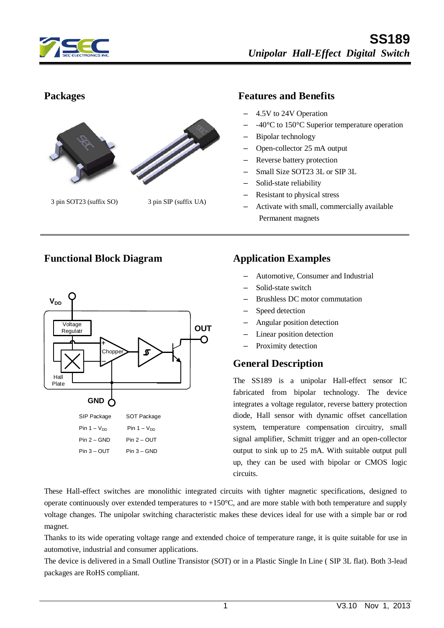



3 pin SOT23 (suffix SO) 3 pin SIP (suffix UA)

#### **Packages Features and Benefits**

- 4.5V to 24V Operation
- -40°C to 150°C Superior temperature operation
- Bipolar technology
- Open-collector 25 mA output
- Reverse battery protection
- Small Size SOT23 3L or SIP 3L
- Solid-state reliability
- Resistant to physical stress
- Activate with small, commercially available Permanent magnets



### **Functional Block Diagram Application Examples**

- Automotive, Consumer and Industrial
- Solid-state switch
- Brushless DC motor commutation
- Speed detection
- Angular position detection
- Linear position detection
- Proximity detection

#### **General Description**

The SS189 is a unipolar Hall-effect sensor IC fabricated from bipolar technology. The device integrates a voltage regulator, reverse battery protection diode, Hall sensor with dynamic offset cancellation system, temperature compensation circuitry, small signal amplifier, Schmitt trigger and an open-collector output to sink up to 25 mA. With suitable output pull up, they can be used with bipolar or CMOS logic circuits.

These Hall-effect switches are monolithic integrated circuits with tighter magnetic specifications, designed to operate continuously over extended temperatures to  $+150^{\circ}$ C, and are more stable with both temperature and supply voltage changes. The unipolar switching characteristic makes these devices ideal for use with a simple bar or rod magnet.

Thanks to its wide operating voltage range and extended choice of temperature range, it is quite suitable for use in automotive, industrial and consumer applications.

The device is delivered in a Small Outline Transistor (SOT) or in a Plastic Single In Line ( SIP 3L flat). Both 3-lead packages are RoHS compliant.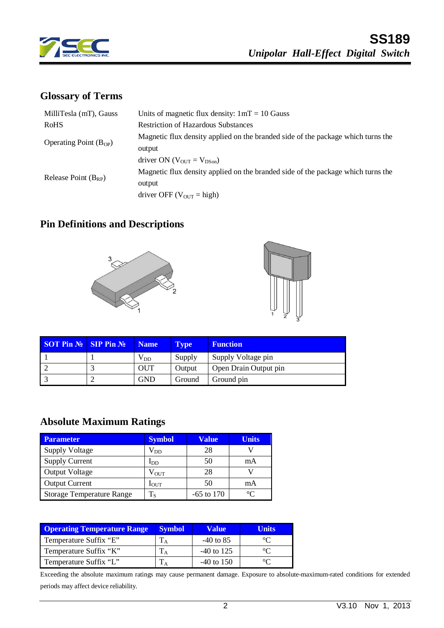

# **Glossary of Terms**

| Units of magnetic flux density: $1mT = 10$ Gauss                                 |
|----------------------------------------------------------------------------------|
| <b>Restriction of Hazardous Substances</b>                                       |
| Magnetic flux density applied on the branded side of the package which turns the |
| output                                                                           |
| driver ON ( $V_{\text{OUT}} = V_{\text{DSon}}$ )                                 |
| Magnetic flux density applied on the branded side of the package which turns the |
| output                                                                           |
| driver OFF ( $V_{\text{OUT}} = \text{high}$ )                                    |
|                                                                                  |

# **Pin Definitions and Descriptions**





| <b>SOT Pin <math>\mathbb{N}</math> SIP Pin <math>\mathbb{N}</math></b> | <b>Name</b>  | <b>Type</b> | <b>Function</b>       |
|------------------------------------------------------------------------|--------------|-------------|-----------------------|
|                                                                        | $\rm V_{DD}$ | Supply      | Supply Voltage pin    |
|                                                                        | OUT          | Output      | Open Drain Output pin |
|                                                                        | <b>GND</b>   | Ground      | Ground pin            |

# **Absolute Maximum Ratings**

| <b>Parameter</b>                 | <b>Symbol</b>    | Value        | <b>Units</b> |
|----------------------------------|------------------|--------------|--------------|
| <b>Supply Voltage</b>            | $\rm V_{DD}$     | 28           |              |
| <b>Supply Current</b>            | $I_{DD}$         | 50           | mA           |
| <b>Output Voltage</b>            | $\rm V_{OUT}$    | 28           |              |
| <b>Output Current</b>            | $I_{\text{OUT}}$ | 50           | mA           |
| <b>Storage Temperature Range</b> | $T_S$            | $-65$ to 170 | $^{\circ}C$  |

| <b>Operating Temperature Range</b> | <b>Symbol</b> | <b>Value</b> | Units |
|------------------------------------|---------------|--------------|-------|
| Temperature Suffix "E"             |               | -40 to 85    |       |
| Temperature Suffix "K"             |               | $-40$ to 125 |       |
| Temperature Suffix "L"             |               | $-40$ to 150 |       |

Exceeding the absolute maximum ratings may cause permanent damage. Exposure to absolute-maximum-rated conditions for extended periods may affect device reliability.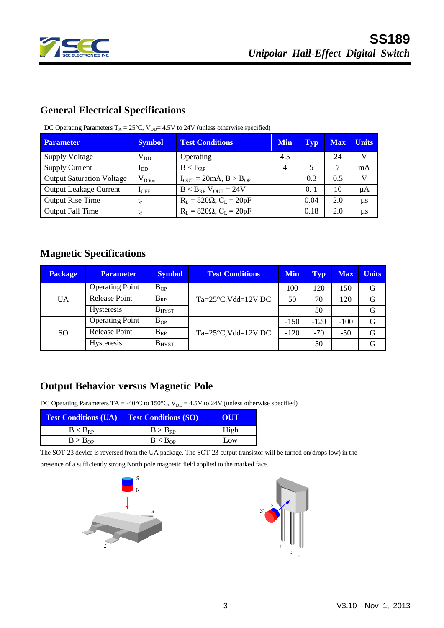

# **General Electrical Specifications**

| <b>Parameter</b>                 | <b>Symbol</b> | <b>Test Conditions</b>              | <b>Min</b> | Typ  | <b>Max</b> | <b>Units</b> |
|----------------------------------|---------------|-------------------------------------|------------|------|------------|--------------|
| <b>Supply Voltage</b>            | $V_{DD}$      | Operating                           | 4.5        |      | 24         | V            |
| <b>Supply Current</b>            | $I_{DD}$      | $B < B_{RP}$                        | 4          |      |            | mA           |
| <b>Output Saturation Voltage</b> | $V_{DSon}$    | $I_{OUT} = 20mA, B > B_{OP}$        |            | 0.3  | 0.5        | V            |
| <b>Output Leakage Current</b>    | $I_{\rm OFF}$ | $B < B_{RP}$ V <sub>OUT</sub> = 24V |            | 0.1  | 10         | μA           |
| <b>Output Rise Time</b>          | t,            | $R_L = 820\Omega$ , $C_L = 20pF$    |            | 0.04 | 2.0        | $\mu s$      |
| <b>Output Fall Time</b>          | $t_f$         | $R_L = 820 \Omega$ , $C_L = 20 pF$  |            | 0.18 | 2.0        | $\mu s$      |

DC Operating Parameters  $T_A = 25^{\circ}$ C, V<sub>DD</sub>= 4.5V to 24V (unless otherwise specified)

## **Magnetic Specifications**

| <b>Package</b> | <b>Parameter</b>       | <b>Symbol</b> | <b>Test Conditions</b>             | <b>Min</b> | <b>Typ</b> | <b>Max</b> | <b>Units</b> |
|----------------|------------------------|---------------|------------------------------------|------------|------------|------------|--------------|
|                | <b>Operating Point</b> | $B_{OP}$      |                                    | 100        | 120        | 150        | G            |
| UA             | <b>Release Point</b>   | $B_{RP}$      | $Ta = 25^{\circ}C$ , Vdd= $12V$ DC | 50         | 70         | 120        | G            |
|                | <b>Hysteresis</b>      | $B_{H YST}$   |                                    |            | 50         |            | G            |
| <b>SO</b>      | <b>Operating Point</b> | $B_{OP}$      |                                    | $-150$     | $-120$     | $-100$     | G            |
|                | <b>Release Point</b>   | $B_{RP}$      | $Ta = 25^{\circ}C$ , Vdd= $12V$ DC | $-120$     | $-70$      | $-50$      | G            |
|                | <b>Hysteresis</b>      | $B_{H YST}$   |                                    |            | 50         |            | G            |

### **Output Behavior versus Magnetic Pole**

DC Operating Parameters TA = -40°C to 150°C,  $V_{DD} = 4.5V$  to 24V (unless otherwise specified)

| <b>Test Conditions (UA)</b> | <b>Test Conditions (SO)</b> | OUT  |  |  |
|-----------------------------|-----------------------------|------|--|--|
| $B < B_{RP}$                | $B > B_{RP}$                | High |  |  |
| B > B <sub>OP</sub>         | B < B <sub>OP</sub>         | Low  |  |  |

The SOT-23 device is reversed from the UA package. The SOT-23 output transistor will be turned on(drops low) in the

presence of a sufficiently strong North pole magnetic field applied to the marked face.



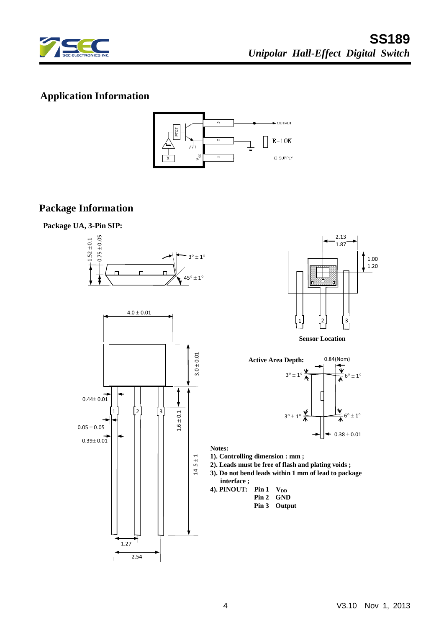

# **Application Information**



#### **Package Information**









**Sensor Location**



**Notes:**

- **1). Controlling dimension : mm ;**
- **2). Leads must be free of flash and plating voids ;**
- **3). Do not bend leads within 1 mm of lead to package interface ;**
- **4). PINOUT:** Pin  $1 \text{ V}_{DD}$  **Pin 2 GND Pin 3 Output**